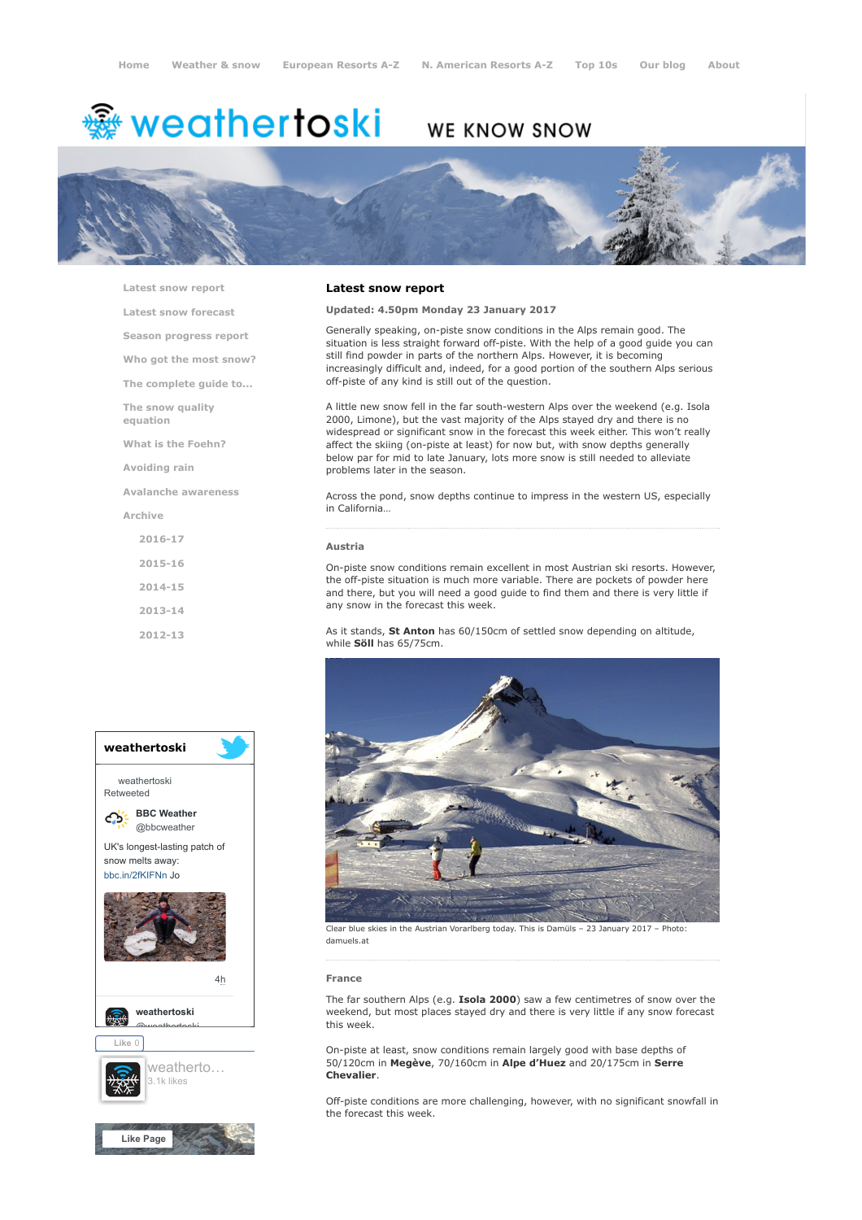# <del>鑾</del> weathertoski

# WE KNOW SNOW



[Latest snow report](https://www.weathertoski.co.uk/weather-snow/latest-snow-report/)

[Latest snow forecast](https://www.weathertoski.co.uk/weather-snow/latest-snow-forecast/)

[Season progress report](https://www.weathertoski.co.uk/weather-snow/season-progress-report/)

[Who got the most snow?](https://www.weathertoski.co.uk/weather-snow/who-got-the-most-snow/)

[The complete guide to...](https://www.weathertoski.co.uk/weather-snow/the-complete-guide-to/)

[The snow quality](https://www.weathertoski.co.uk/weather-snow/the-snow-quality-equation/)

[What is the Foehn?](https://www.weathertoski.co.uk/weather-snow/what-is-the-foehn/)

[Avoiding rain](https://www.weathertoski.co.uk/weather-snow/avoiding-rain/)

equation

[Avalanche awareness](https://www.weathertoski.co.uk/weather-snow/avalanche-awareness/)

[Archive](https://www.weathertoski.co.uk/weather-snow/archive/)

[2016-17](https://www.weathertoski.co.uk/weather-snow/archive/2016-17/) [2015-16](https://www.weathertoski.co.uk/weather-snow/archive/2015-16/) [2014-15](https://www.weathertoski.co.uk/weather-snow/archive/2014-15/) [2013-14](https://www.weathertoski.co.uk/weather-snow/archive/2013-14/)

[2012-13](https://www.weathertoski.co.uk/weather-snow/archive/2012-13/)



# Latest snow report

## Updated: 4.50pm Monday 23 January 2017

Generally speaking, on-piste snow conditions in the Alps remain good. The situation is less straight forward off-piste. With the help of a good guide you can still find powder in parts of the northern Alps. However, it is becoming increasingly difficult and, indeed, for a good portion of the southern Alps serious off-piste of any kind is still out of the question.

A little new snow fell in the far south-western Alps over the weekend (e.g. Isola 2000, Limone), but the vast majority of the Alps stayed dry and there is no widespread or significant snow in the forecast this week either. This won't really affect the skiing (on-piste at least) for now but, with snow depths generally below par for mid to late January, lots more snow is still needed to alleviate problems later in the season.

Across the pond, snow depths continue to impress in the western US, especially in California…

#### Austria

On-piste snow conditions remain excellent in most Austrian ski resorts. However, the off-piste situation is much more variable. There are pockets of powder here and there, but you will need a good guide to find them and there is very little if any snow in the forecast this week.

As it stands, St Anton has 60/150cm of settled snow depending on altitude, while Söll has 65/75cm.



Clear blue skies in the Austrian Vorarlberg today. This is Damüls – 23 January 2017 – Photo: damuels.at

#### France

The far southern Alps (e.g. Isola 2000) saw a few centimetres of snow over the weekend, but most places stayed dry and there is very little if any snow forecast this week.

On-piste at least, snow conditions remain largely good with base depths of 50/120cm in Megève, 70/160cm in Alpe d'Huez and 20/175cm in Serre Chevalier.

Off-piste conditions are more challenging, however, with no significant snowfall in the forecast this week.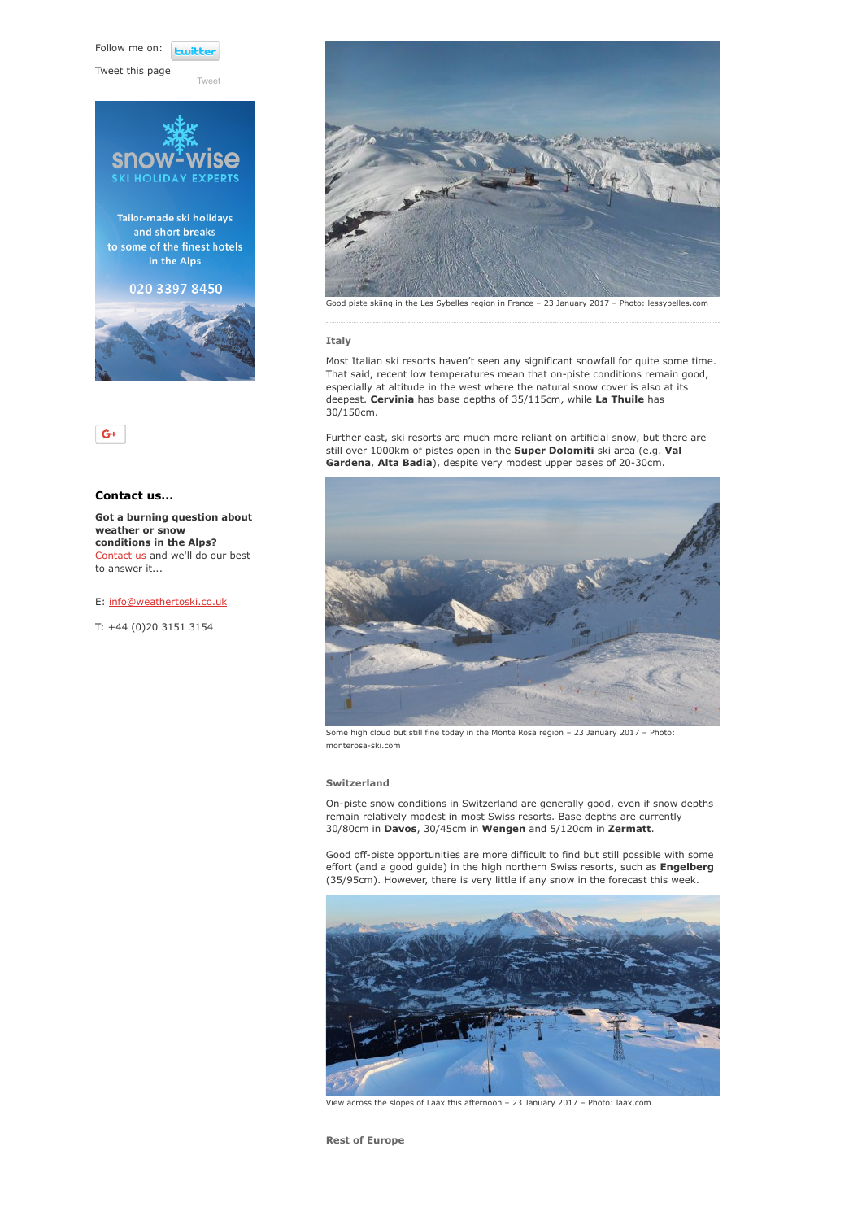Follow me on: **Luitt** 

[Tweet](https://twitter.com/intent/tweet?original_referer=https%3A%2F%2Fwww.weathertoski.co.uk%2Fweather-snow%2Farchive%2Fsnow-report-23-01-2017%2F&ref_src=twsrc%5Etfw&text=Weather%20to%20ski%20-%20Snow%20report%20-%2023%20January%202017&tw_p=tweetbutton&url=https%3A%2F%2Fwww.weathertoski.co.uk%2Fweather-snow%2Farchive%2Fsnow-report-23-01-2017%2F)

Tweet this page





# Contact us...

Got a burning question about weather or snow conditions in the Alps? [Contact us](https://www.weathertoski.co.uk/about-1/contact-us/) and we'll do our best to answer it...

E: [info@weathertoski.co.uk](mailto:fraser@weathertoski.co.uk)

T: +44 (0)20 3151 3154



Good piste skiing in the Les Sybelles region in France – 23 January 2017 – Photo: lessybelles.com

#### Italy

Most Italian ski resorts haven't seen any significant snowfall for quite some time. That said, recent low temperatures mean that on-piste conditions remain good, especially at altitude in the west where the natural snow cover is also at its deepest. Cervinia has base depths of 35/115cm, while La Thuile has 30/150cm.

Further east, ski resorts are much more reliant on artificial snow, but there are still over 1000km of pistes open in the Super Dolomiti ski area (e.g. Val Gardena, Alta Badia), despite very modest upper bases of 20-30cm.



Some high cloud but still fine today in the Monte Rosa region – 23 January 2017 – Photo: monterosa-ski.com

#### Switzerland

On-piste snow conditions in Switzerland are generally good, even if snow depths remain relatively modest in most Swiss resorts. Base depths are currently 30/80cm in Davos, 30/45cm in Wengen and 5/120cm in Zermatt.

Good off-piste opportunities are more difficult to find but still possible with some effort (and a good guide) in the high northern Swiss resorts, such as **Engelberg** (35/95cm). However, there is very little if any snow in the forecast this week.



View across the slopes of Laax this afternoon – 23 January 2017 – Photo: laax.com

Rest of Europe